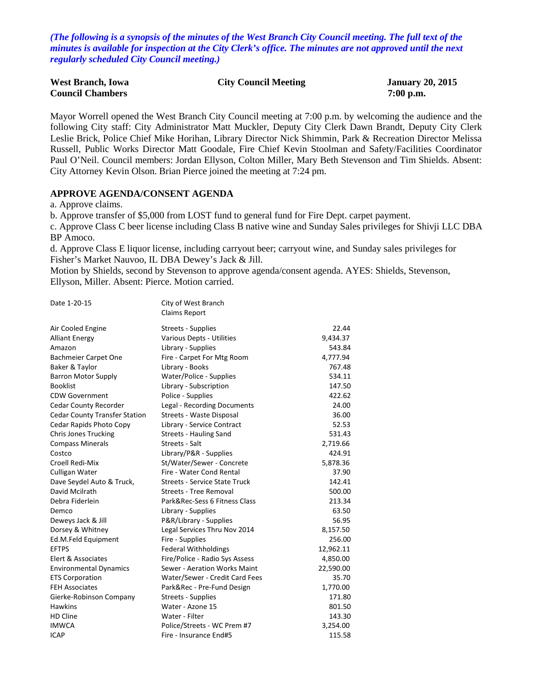*(The following is a synopsis of the minutes of the West Branch City Council meeting. The full text of the minutes is available for inspection at the City Clerk's office. The minutes are not approved until the next regularly scheduled City Council meeting.)*

| <b>West Branch, Iowa</b> | <b>City Council Meeting</b> | <b>January 20, 2015</b> |
|--------------------------|-----------------------------|-------------------------|
| <b>Council Chambers</b>  |                             | $7:00$ p.m.             |

Mayor Worrell opened the West Branch City Council meeting at 7:00 p.m. by welcoming the audience and the following City staff: City Administrator Matt Muckler, Deputy City Clerk Dawn Brandt, Deputy City Clerk Leslie Brick, Police Chief Mike Horihan, Library Director Nick Shimmin, Park & Recreation Director Melissa Russell, Public Works Director Matt Goodale, Fire Chief Kevin Stoolman and Safety/Facilities Coordinator Paul O'Neil. Council members: Jordan Ellyson, Colton Miller, Mary Beth Stevenson and Tim Shields. Absent: City Attorney Kevin Olson. Brian Pierce joined the meeting at 7:24 pm.

### **APPROVE AGENDA/CONSENT AGENDA**

a. Approve claims.

b. Approve transfer of \$5,000 from LOST fund to general fund for Fire Dept. carpet payment.

c. Approve Class C beer license including Class B native wine and Sunday Sales privileges for Shivji LLC DBA BP Amoco.

d. Approve Class E liquor license, including carryout beer; carryout wine, and Sunday sales privileges for Fisher's Market Nauvoo, IL DBA Dewey's Jack & Jill.

Motion by Shields, second by Stevenson to approve agenda/consent agenda. AYES: Shields, Stevenson, Ellyson, Miller. Absent: Pierce. Motion carried.

| Date 1-20-15                         | City of West Branch<br>Claims Report |           |
|--------------------------------------|--------------------------------------|-----------|
| Air Cooled Engine                    | Streets - Supplies                   | 22.44     |
| <b>Alliant Energy</b>                | Various Depts - Utilities            | 9,434.37  |
| Amazon                               | Library - Supplies                   | 543.84    |
| <b>Bachmeier Carpet One</b>          | Fire - Carpet For Mtg Room           | 4,777.94  |
| Baker & Taylor                       | Library - Books                      | 767.48    |
| <b>Barron Motor Supply</b>           | Water/Police - Supplies              | 534.11    |
| <b>Booklist</b>                      | Library - Subscription               | 147.50    |
| <b>CDW Government</b>                | Police - Supplies                    | 422.62    |
| Cedar County Recorder                | Legal - Recording Documents          | 24.00     |
| <b>Cedar County Transfer Station</b> | Streets - Waste Disposal             | 36.00     |
| Cedar Rapids Photo Copy              | Library - Service Contract           | 52.53     |
| <b>Chris Jones Trucking</b>          | <b>Streets - Hauling Sand</b>        | 531.43    |
| <b>Compass Minerals</b>              | Streets - Salt                       | 2,719.66  |
| Costco                               | Library/P&R - Supplies               | 424.91    |
| Croell Redi-Mix                      | St/Water/Sewer - Concrete            | 5,878.36  |
| Culligan Water                       | Fire - Water Cond Rental             | 37.90     |
| Dave Seydel Auto & Truck,            | <b>Streets - Service State Truck</b> | 142.41    |
| David Mcilrath                       | <b>Streets - Tree Removal</b>        | 500.00    |
| Debra Fiderlein                      | Park&Rec-Sess 6 Fitness Class        | 213.34    |
| Demco                                | Library - Supplies                   | 63.50     |
| Deweys Jack & Jill                   | P&R/Library - Supplies               | 56.95     |
| Dorsey & Whitney                     | Legal Services Thru Nov 2014         | 8,157.50  |
| Ed.M.Feld Equipment                  | Fire - Supplies                      | 256.00    |
| <b>EFTPS</b>                         | <b>Federal Withholdings</b>          | 12,962.11 |
| Elert & Associates                   | Fire/Police - Radio Sys Assess       | 4,850.00  |
| <b>Environmental Dynamics</b>        | Sewer - Aeration Works Maint         | 22,590.00 |
| <b>ETS Corporation</b>               | Water/Sewer - Credit Card Fees       | 35.70     |
| <b>FEH Associates</b>                | Park&Rec - Pre-Fund Design           | 1,770.00  |
| Gierke-Robinson Company              | Streets - Supplies                   | 171.80    |
| <b>Hawkins</b>                       | Water - Azone 15                     | 801.50    |
| HD Cline                             | Water - Filter                       | 143.30    |
| <b>IMWCA</b>                         | Police/Streets - WC Prem #7          | 3,254.00  |
| <b>ICAP</b>                          | Fire - Insurance End#5               | 115.58    |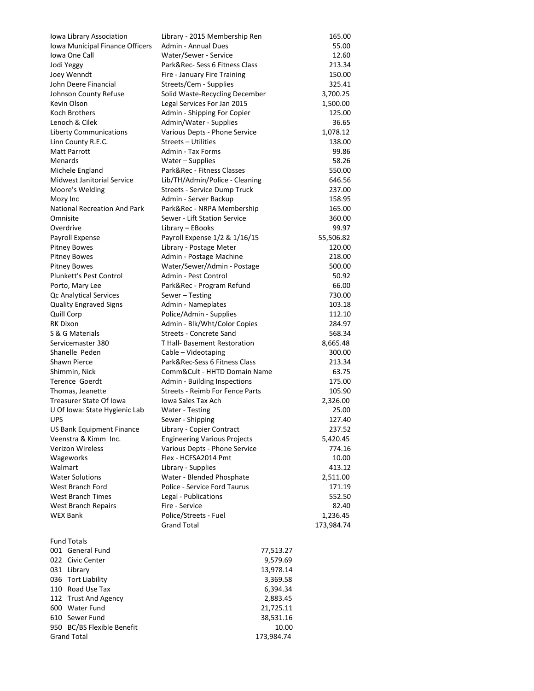| Iowa Library Association            | Library - 2015 Membership Ren       | 165.00     |
|-------------------------------------|-------------------------------------|------------|
| Iowa Municipal Finance Officers     | Admin - Annual Dues                 | 55.00      |
| Iowa One Call                       | Water/Sewer - Service               | 12.60      |
| Jodi Yeggy                          | Park&Rec-Sess 6 Fitness Class       | 213.34     |
| Joey Wenndt                         | Fire - January Fire Training        | 150.00     |
| John Deere Financial                | Streets/Cem - Supplies              | 325.41     |
| Johnson County Refuse               | Solid Waste-Recycling December      | 3,700.25   |
| Kevin Olson                         | Legal Services For Jan 2015         | 1,500.00   |
| Koch Brothers                       | Admin - Shipping For Copier         | 125.00     |
| Lenoch & Cilek                      | Admin/Water - Supplies              | 36.65      |
| <b>Liberty Communications</b>       | Various Depts - Phone Service       | 1,078.12   |
| Linn County R.E.C.                  | Streets - Utilities                 | 138.00     |
| Matt Parrott                        | Admin - Tax Forms                   | 99.86      |
| Menards                             | Water - Supplies                    | 58.26      |
| Michele England                     | Park&Rec - Fitness Classes          | 550.00     |
| <b>Midwest Janitorial Service</b>   | Lib/TH/Admin/Police - Cleaning      | 646.56     |
| Moore's Welding                     | Streets - Service Dump Truck        | 237.00     |
| Mozy Inc                            | Admin - Server Backup               | 158.95     |
| <b>National Recreation And Park</b> | Park&Rec - NRPA Membership          | 165.00     |
| Omnisite                            | Sewer - Lift Station Service        | 360.00     |
| Overdrive                           | Library - EBooks                    | 99.97      |
| Payroll Expense                     | Payroll Expense 1/2 & 1/16/15       | 55,506.82  |
| <b>Pitney Bowes</b>                 | Library - Postage Meter             | 120.00     |
| <b>Pitney Bowes</b>                 | Admin - Postage Machine             | 218.00     |
| <b>Pitney Bowes</b>                 | Water/Sewer/Admin - Postage         | 500.00     |
| Plunkett's Pest Control             | Admin - Pest Control                | 50.92      |
| Porto, Mary Lee                     | Park&Rec - Program Refund           | 66.00      |
| Qc Analytical Services              | Sewer - Testing                     | 730.00     |
| <b>Quality Engraved Signs</b>       | Admin - Nameplates                  | 103.18     |
| Quill Corp                          | Police/Admin - Supplies             | 112.10     |
| <b>RK Dixon</b>                     | Admin - Blk/Wht/Color Copies        | 284.97     |
| S & G Materials                     | Streets - Concrete Sand             | 568.34     |
| Servicemaster 380                   | T Hall- Basement Restoration        |            |
| Shanelle Peden                      |                                     | 8,665.48   |
|                                     | Cable - Videotaping                 | 300.00     |
| <b>Shawn Pierce</b>                 | Park&Rec-Sess 6 Fitness Class       | 213.34     |
| Shimmin, Nick                       | Comm&Cult - HHTD Domain Name        | 63.75      |
| <b>Terence Goerdt</b>               | Admin - Building Inspections        | 175.00     |
| Thomas, Jeanette                    | Streets - Reimb For Fence Parts     | 105.90     |
| Treasurer State Of Iowa             | Iowa Sales Tax Ach                  | 2,326.00   |
| U Of Iowa: State Hygienic Lab       | Water - Testing                     | 25.00      |
| <b>UPS</b>                          | Sewer - Shipping                    | 127.40     |
| US Bank Equipment Finance           | Library - Copier Contract           | 237.52     |
| Veenstra & Kimm Inc.                | <b>Engineering Various Projects</b> | 5,420.45   |
| <b>Verizon Wireless</b>             | Various Depts - Phone Service       | 774.16     |
| Wageworks                           | Flex - HCFSA2014 Pmt                | 10.00      |
| Walmart                             | Library - Supplies                  | 413.12     |
| <b>Water Solutions</b>              | Water - Blended Phosphate           | 2,511.00   |
| West Branch Ford                    | Police - Service Ford Taurus        | 171.19     |
| <b>West Branch Times</b>            | Legal - Publications                | 552.50     |
| <b>West Branch Repairs</b>          | Fire - Service                      | 82.40      |
| <b>WEX Bank</b>                     | Police/Streets - Fuel               | 1,236.45   |
|                                     | <b>Grand Total</b>                  | 173,984.74 |
| <b>Fund Totals</b>                  |                                     |            |
| 001 General Fund                    | 77,513.27                           |            |
| 022 Civic Center                    | 9,579.69                            |            |
| 031 Library                         | 13,978.14                           |            |
| 036 Tort Liability                  | 3,369.58                            |            |
| 110 Road Use Tax                    | 6,394.34                            |            |
| 112 Trust And Agency                | 2,883.45                            |            |
| 600 Water Fund                      | 21,725.11                           |            |
| 610 Sewer Fund                      | 38,531.16                           |            |
| 950 BC/BS Flexible Benefit          | 10.00                               |            |
| <b>Grand Total</b>                  | 173,984.74                          |            |
|                                     |                                     |            |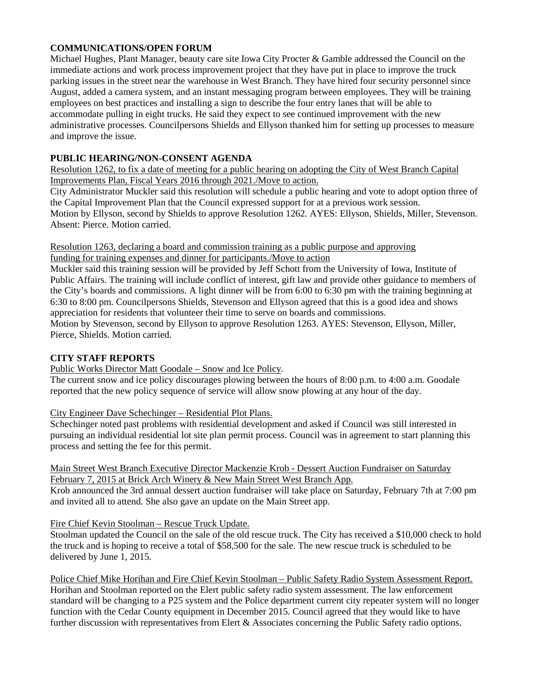## **COMMUNICATIONS/OPEN FORUM**

Michael Hughes, Plant Manager, beauty care site Iowa City Procter & Gamble addressed the Council on the immediate actions and work process improvement project that they have put in place to improve the truck parking issues in the street near the warehouse in West Branch. They have hired four security personnel since August, added a camera system, and an instant messaging program between employees. They will be training employees on best practices and installing a sign to describe the four entry lanes that will be able to accommodate pulling in eight trucks. He said they expect to see continued improvement with the new administrative processes. Councilpersons Shields and Ellyson thanked him for setting up processes to measure and improve the issue.

## **PUBLIC HEARING/NON-CONSENT AGENDA**

Resolution 1262, to fix a date of meeting for a public hearing on adopting the City of West Branch Capital Improvements Plan, Fiscal Years 2016 through 2021./Move to action.

City Administrator Muckler said this resolution will schedule a public hearing and vote to adopt option three of the Capital Improvement Plan that the Council expressed support for at a previous work session. Motion by Ellyson, second by Shields to approve Resolution 1262. AYES: Ellyson, Shields, Miller, Stevenson. Absent: Pierce. Motion carried.

Resolution 1263, declaring a board and commission training as a public purpose and approving funding for training expenses and dinner for participants./Move to action

Muckler said this training session will be provided by Jeff Schott from the University of Iowa, Institute of Public Affairs. The training will include conflict of interest, gift law and provide other guidance to members of the City's boards and commissions. A light dinner will be from 6:00 to 6:30 pm with the training beginning at 6:30 to 8:00 pm. Councilpersons Shields, Stevenson and Ellyson agreed that this is a good idea and shows appreciation for residents that volunteer their time to serve on boards and commissions.

Motion by Stevenson, second by Ellyson to approve Resolution 1263. AYES: Stevenson, Ellyson, Miller, Pierce, Shields. Motion carried.

## **CITY STAFF REPORTS**

Public Works Director Matt Goodale – Snow and Ice Policy.

The current snow and ice policy discourages plowing between the hours of 8:00 p.m. to 4:00 a.m. Goodale reported that the new policy sequence of service will allow snow plowing at any hour of the day.

City Engineer Dave Schechinger – Residential Plot Plans.

Schechinger noted past problems with residential development and asked if Council was still interested in pursuing an individual residential lot site plan permit process. Council was in agreement to start planning this process and setting the fee for this permit.

#### Main Street West Branch Executive Director Mackenzie Krob - Dessert Auction Fundraiser on Saturday February 7, 2015 at Brick Arch Winery & New Main Street West Branch App.

Krob announced the 3rd annual dessert auction fundraiser will take place on Saturday, February 7th at 7:00 pm and invited all to attend. She also gave an update on the Main Street app.

#### Fire Chief Kevin Stoolman – Rescue Truck Update.

Stoolman updated the Council on the sale of the old rescue truck. The City has received a \$10,000 check to hold the truck and is hoping to receive a total of \$58,500 for the sale. The new rescue truck is scheduled to be delivered by June 1, 2015.

Police Chief Mike Horihan and Fire Chief Kevin Stoolman – Public Safety Radio System Assessment Report. Horihan and Stoolman reported on the Elert public safety radio system assessment. The law enforcement standard will be changing to a P25 system and the Police department current city repeater system will no longer function with the Cedar County equipment in December 2015. Council agreed that they would like to have further discussion with representatives from Elert & Associates concerning the Public Safety radio options.